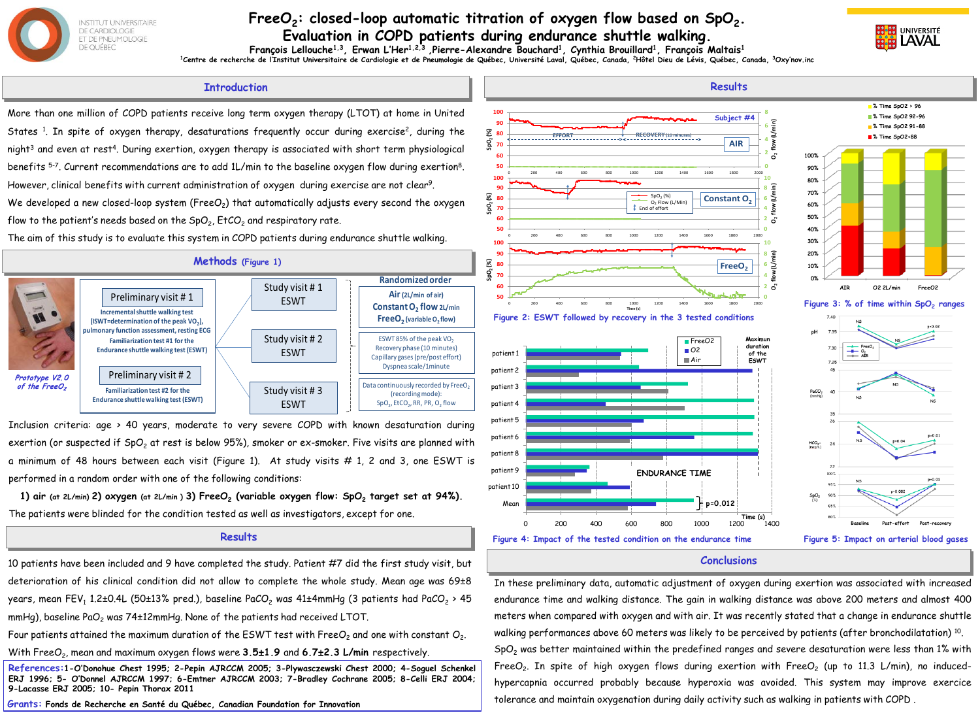

## FreeO<sub>2</sub>: closed-loop automatic titration of oxygen flow based on SpO<sub>2</sub>. **Evaluation in COPD patients during endurance shuttle walking.**



**François Lellouche1,3, Erwan L'Her1,2,3 ,Pierre-Alexandre Bouchard1, Cynthia Brouillard1, François Maltais1** <sup>1</sup>Centre de recherche de l'Institut Universitaire de Cardiologie et de Pneumologie de Québec, Université Laval, Québec, Canada, <sup>2</sup>Hôtel Dieu de Lévis, Québec, Canada, <sup>3</sup>Oxy'nov.inc

## **Introduction**

More than one million of COPD patients receive long term oxygen therapy (LTOT) at home in United States <sup>1</sup>. In spite of oxygen therapy, desaturations frequently occur during exercise<sup>2</sup>, during the night<sup>3</sup> and even at rest<sup>4</sup>. During exertion, oxygen therapy is associated with short term physiological benefits 5-7. Current recommendations are to add 1L/min to the baseline oxygen flow during exertion8. However, clinical benefits with current administration of oxygen during exercise are not clear<sup>9</sup>.

We developed a new closed-loop system (Free $O<sub>2</sub>$ ) that automatically adjusts every second the oxygen flow to the patient's needs based on the  $SpO<sub>2</sub>$ , EtCO<sub>2</sub> and respiratory rate.

The aim of this study is to evaluate this system in COPD patients during endurance shuttle walking.



Inclusion criteria: age > 40 years, moderate to very severe COPD with known desaturation during exertion (or suspected if  $SpO<sub>2</sub>$  at rest is below 95%), smoker or ex-smoker. Five visits are planned with a minimum of 48 hours between each visit (Figure 1). At study visits # 1, 2 and 3, one ESWT is performed in a random order with one of the following conditions:

**1) air** (at 2L/min) 2) oxygen (at 2L/min) 3) FreeO<sub>2</sub> (variable oxygen flow: SpO<sub>2</sub> target set at 94%). The patients were blinded for the condition tested as well as investigators, except for one.

## **Results**

10 patients have been included and 9 have completed the study. Patient #7 did the first study visit, but deterioration of his clinical condition did not allow to complete the whole study. Mean age was 69±8 years, mean FEV<sub>1</sub> 1.2±0.4L (50±13% pred.), baseline PaCO<sub>2</sub> was 41±4mmHg (3 patients had PaCO<sub>2</sub> > 45 mmHg), baseline PaO<sub>2</sub> was 74±12mmHg. None of the patients had received LTOT.

Four patients attained the maximum duration of the ESWT test with FreeO<sub>2</sub> and one with constant O<sub>2</sub>.

With FreeO2, mean and maximum oxygen flows were **3.5**±**1.9** and **6.7**±**2.3 L/min** respectively.

**References:1-O'Donohue Chest 1995; 2-Pepin AJRCCM 2005; 3-Plywasczewski Chest 2000; 4-Soguel Schenkel ERJ 1996; 5- O'Donnel AJRCCM 1997; 6-Emtner AJRCCM 2003; 7-Bradley Cochrane 2005; 8-Celli ERJ 2004; 9-Lacasse ERJ 2005; 10- Pepin Thorax 2011**

**Grants: Fonds de Recherche en Santé du Québec, Canadian Foundation for Innovation**



## **Conclusions**

In these preliminary data, automatic adjustment of oxygen during exertion was associated with increased endurance time and walking distance. The gain in walking distance was above 200 meters and almost 400 meters when compared with oxygen and with air. It was recently stated that a change in endurance shuttle walking performances above 60 meters was likely to be perceived by patients (after bronchodilatation) <sup>10</sup>.  $SpO<sub>2</sub>$  was better maintained within the predefined ranges and severe desaturation were less than 1% with FreeO<sub>2</sub>. In spite of high oxygen flows during exertion with FreeO<sub>2</sub> (up to 11.3 L/min), no inducedhypercapnia occurred probably because hyperoxia was avoided. This system may improve exercice tolerance and maintain oxygenation during daily activity such as walking in patients with COPD .